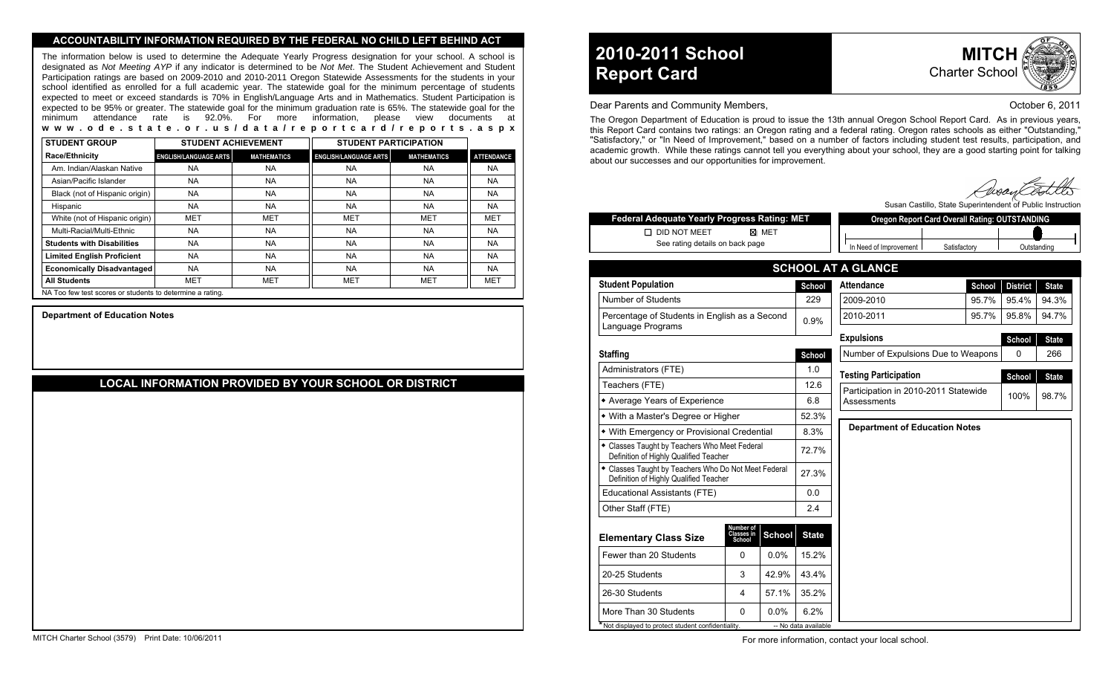#### **ACCOUNTABILITY INFORMATION REQUIRED BY THE FEDERAL NO CHILD LEFT BEHIND ACT**

The information below is used to determine the Adequate Yearly Progress designation for your school. A school is designated as Not Meeting AYP if any indicator is determined to be Not Met. The Student Achievement and Student Participation ratings are based on 2009-2010 and 2010-2011 Oregon Statewide Assessments for the students in your school identified as enrolled for a full academic year. The statewide goal for the minimum percentage of students expected to meet or exceed standards is 70% in English/Language Arts and in Mathematics. Student Participation is expected to be 95% or greater. The statewide goal for the minimum graduation rate is 65%. The statewide goal for the minimum attendance rate is 92.0%. For more information, please view documents at **www.ode.state.or.us/data/reportcard/reports.aspx**

| <b>STUDENT GROUP</b>                                      | <b>STUDENT ACHIEVEMENT</b>   |                    | <b>STUDENT PARTICIPATION</b> |                    |                   |
|-----------------------------------------------------------|------------------------------|--------------------|------------------------------|--------------------|-------------------|
| <b>Race/Ethnicity</b>                                     | <b>ENGLISH/LANGUAGE ARTS</b> | <b>MATHEMATICS</b> | <b>ENGLISH/LANGUAGE ARTS</b> | <b>MATHEMATICS</b> | <b>ATTENDANCE</b> |
| Am. Indian/Alaskan Native                                 | <b>NA</b>                    | <b>NA</b>          | <b>NA</b>                    | <b>NA</b>          | <b>NA</b>         |
| Asian/Pacific Islander                                    | <b>NA</b>                    | <b>NA</b>          | <b>NA</b>                    | <b>NA</b>          | NA.               |
| Black (not of Hispanic origin)                            | <b>NA</b>                    | <b>NA</b>          | <b>NA</b>                    | <b>NA</b>          | NA.               |
| Hispanic                                                  | <b>NA</b>                    | <b>NA</b>          | <b>NA</b>                    | <b>NA</b>          | NA.               |
| White (not of Hispanic origin)                            | <b>MET</b>                   | <b>MET</b>         | <b>MET</b>                   | MET                | MET               |
| Multi-Racial/Multi-Ethnic                                 | <b>NA</b>                    | <b>NA</b>          | <b>NA</b>                    | <b>NA</b>          | NA.               |
| <b>Students with Disabilities</b>                         | <b>NA</b>                    | <b>NA</b>          | <b>NA</b>                    | <b>NA</b>          | <b>NA</b>         |
| <b>Limited English Proficient</b>                         | <b>NA</b>                    | <b>NA</b>          | <b>NA</b>                    | <b>NA</b>          | <b>NA</b>         |
| <b>Economically Disadvantaged</b>                         | <b>NA</b>                    | <b>NA</b>          | <b>NA</b>                    | <b>NA</b>          | <b>NA</b>         |
| <b>All Students</b>                                       | <b>MET</b>                   | MET                | <b>MET</b>                   | <b>MET</b>         | MET               |
| NA Too few test scores or students to determine a rating. |                              |                    |                              |                    |                   |

**Department of Education Notes**

# **LOCAL INFORMATION PROVIDED BY YOUR SCHOOL OR DISTRICT**

# **2010-2011 School Report Card**



#### Dear Parents and Community Members, **Dear Parents and Community Members**, **October 6, 2011**

The Oregon Department of Education is proud to issue the 13th annual Oregon School Report Card. As in previous years, this Report Card contains two ratings: an Oregon rating and a federal rating. Oregon rates schools as either "Outstanding," "Satisfactory," or "In Need of Improvement," based on a number of factors including student test results, participation, and academic growth. While these ratings cannot tell you everything about your school, they are a good starting point for talking about our successes and our opportunities for improvement.

Susan Castillo, State Superintendent of Public Instru

| Federal Adequate Yearly Progress Rating: MET                                                   |                                   |               |                      | <b>Oregon Report Card Overall Rating: OUTSTANDING</b> |              |        |                 |              |  |
|------------------------------------------------------------------------------------------------|-----------------------------------|---------------|----------------------|-------------------------------------------------------|--------------|--------|-----------------|--------------|--|
| <b>DID NOT MEET</b>                                                                            |                                   | ⊠ MET         |                      |                                                       |              |        |                 |              |  |
| See rating details on back page                                                                |                                   |               |                      | In Need of Improvement                                | Satisfactory |        |                 | Outstanding  |  |
|                                                                                                |                                   |               |                      | <b>SCHOOL AT A GLANCE</b>                             |              |        |                 |              |  |
| <b>Student Population</b>                                                                      |                                   |               | School               | <b>Attendance</b>                                     |              | School | <b>District</b> | <b>State</b> |  |
| Number of Students                                                                             |                                   |               | 229                  | 2009-2010                                             |              | 95.7%  | 95.4%           | 94.3%        |  |
| Percentage of Students in English as a Second<br>Language Programs                             |                                   | 0.9%          | 2010-2011<br>95.7%   |                                                       |              | 95.8%  | 94.7%           |              |  |
|                                                                                                |                                   |               |                      | <b>Expulsions</b>                                     |              |        | School          | <b>State</b> |  |
| <b>Staffing</b>                                                                                |                                   |               | School               | Number of Expulsions Due to Weapons                   |              |        | $\Omega$        | 266          |  |
| Administrators (FTE)                                                                           |                                   |               | 1.0                  | <b>Testing Participation</b>                          |              |        | School          | <b>State</b> |  |
| Teachers (FTE)                                                                                 |                                   |               | 12.6                 | Participation in 2010-2011 Statewide                  |              |        |                 |              |  |
| • Average Years of Experience                                                                  |                                   |               | 6.8                  | 98.7%<br>100%<br>Assessments                          |              |        |                 |              |  |
| • With a Master's Degree or Higher                                                             |                                   |               | 52.3%                |                                                       |              |        |                 |              |  |
| • With Emergency or Provisional Credential                                                     |                                   |               | 8.3%                 | <b>Department of Education Notes</b>                  |              |        |                 |              |  |
| · Classes Taught by Teachers Who Meet Federal<br>Definition of Highly Qualified Teacher        |                                   |               | 72.7%                |                                                       |              |        |                 |              |  |
| • Classes Taught by Teachers Who Do Not Meet Federal<br>Definition of Highly Qualified Teacher |                                   | 27.3%         |                      |                                                       |              |        |                 |              |  |
| Educational Assistants (FTE)                                                                   |                                   |               | 0.0                  |                                                       |              |        |                 |              |  |
| Other Staff (FTE)                                                                              |                                   |               | 2.4                  |                                                       |              |        |                 |              |  |
| <b>Elementary Class Size</b>                                                                   | Number of<br>Classes in<br>School | <b>School</b> | <b>State</b>         |                                                       |              |        |                 |              |  |
| Fewer than 20 Students                                                                         | 0                                 | 0.0%          | 15.2%                |                                                       |              |        |                 |              |  |
| 20-25 Students                                                                                 | 3                                 | 42.9%         | 43.4%                |                                                       |              |        |                 |              |  |
| 26-30 Students                                                                                 | 4                                 | 57.1%         | 35.2%                |                                                       |              |        |                 |              |  |
| More Than 30 Students                                                                          | 0                                 | 0.0%          | 6.2%                 |                                                       |              |        |                 |              |  |
| Not displayed to protect student confidentiality.                                              |                                   |               | -- No data available |                                                       |              |        |                 |              |  |